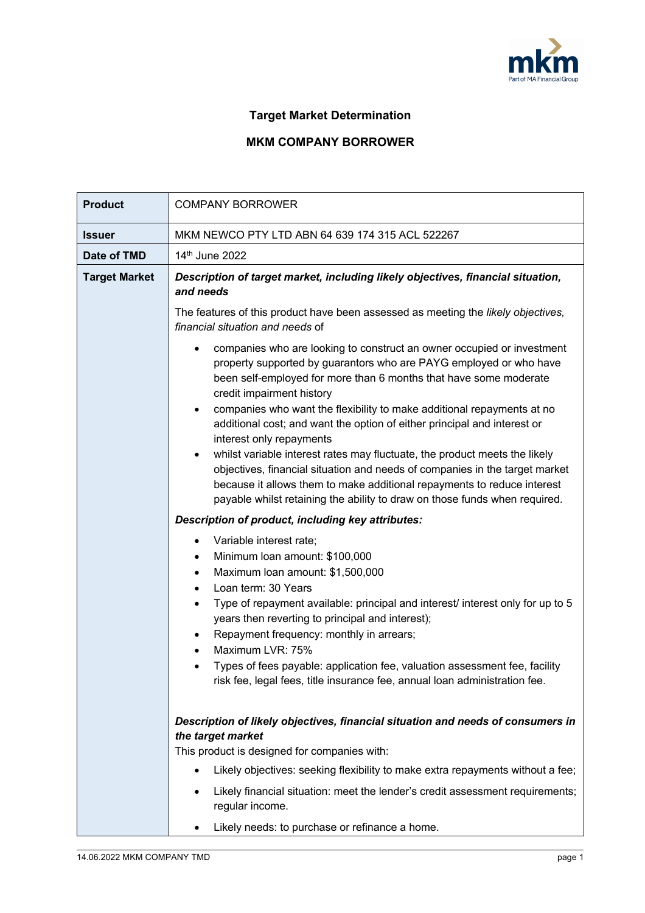

## **Target Market Determination**

## **MKM COMPANY BORROWER**

| <b>Product</b>       | <b>COMPANY BORROWER</b>                                                                                                                                                                                                                                                                                                                                                                                                                                                                                                                                                                                                                                                                                                                                                  |  |  |  |
|----------------------|--------------------------------------------------------------------------------------------------------------------------------------------------------------------------------------------------------------------------------------------------------------------------------------------------------------------------------------------------------------------------------------------------------------------------------------------------------------------------------------------------------------------------------------------------------------------------------------------------------------------------------------------------------------------------------------------------------------------------------------------------------------------------|--|--|--|
| <b>Issuer</b>        | MKM NEWCO PTY LTD ABN 64 639 174 315 ACL 522267                                                                                                                                                                                                                                                                                                                                                                                                                                                                                                                                                                                                                                                                                                                          |  |  |  |
| Date of TMD          | 14th June 2022                                                                                                                                                                                                                                                                                                                                                                                                                                                                                                                                                                                                                                                                                                                                                           |  |  |  |
| <b>Target Market</b> | Description of target market, including likely objectives, financial situation,<br>and needs<br>The features of this product have been assessed as meeting the likely objectives,<br>financial situation and needs of                                                                                                                                                                                                                                                                                                                                                                                                                                                                                                                                                    |  |  |  |
|                      | companies who are looking to construct an owner occupied or investment<br>٠<br>property supported by guarantors who are PAYG employed or who have<br>been self-employed for more than 6 months that have some moderate<br>credit impairment history<br>companies who want the flexibility to make additional repayments at no<br>$\bullet$<br>additional cost; and want the option of either principal and interest or<br>interest only repayments<br>whilst variable interest rates may fluctuate, the product meets the likely<br>objectives, financial situation and needs of companies in the target market<br>because it allows them to make additional repayments to reduce interest<br>payable whilst retaining the ability to draw on those funds when required. |  |  |  |
|                      | Description of product, including key attributes:                                                                                                                                                                                                                                                                                                                                                                                                                                                                                                                                                                                                                                                                                                                        |  |  |  |
|                      | Variable interest rate;<br>٠<br>Minimum Ioan amount: \$100,000<br>٠<br>Maximum Ioan amount: \$1,500,000<br>$\bullet$<br>Loan term: 30 Years<br>$\bullet$<br>Type of repayment available: principal and interest/ interest only for up to 5<br>$\bullet$<br>years then reverting to principal and interest);<br>Repayment frequency: monthly in arrears;<br>Maximum LVR: 75%<br>Types of fees payable: application fee, valuation assessment fee, facility<br>risk fee, legal fees, title insurance fee, annual loan administration fee.                                                                                                                                                                                                                                  |  |  |  |
|                      | Description of likely objectives, financial situation and needs of consumers in<br>the target market<br>This product is designed for companies with:<br>Likely objectives: seeking flexibility to make extra repayments without a fee;<br>٠<br>Likely financial situation: meet the lender's credit assessment requirements;<br>regular income.                                                                                                                                                                                                                                                                                                                                                                                                                          |  |  |  |
|                      | Likely needs: to purchase or refinance a home.                                                                                                                                                                                                                                                                                                                                                                                                                                                                                                                                                                                                                                                                                                                           |  |  |  |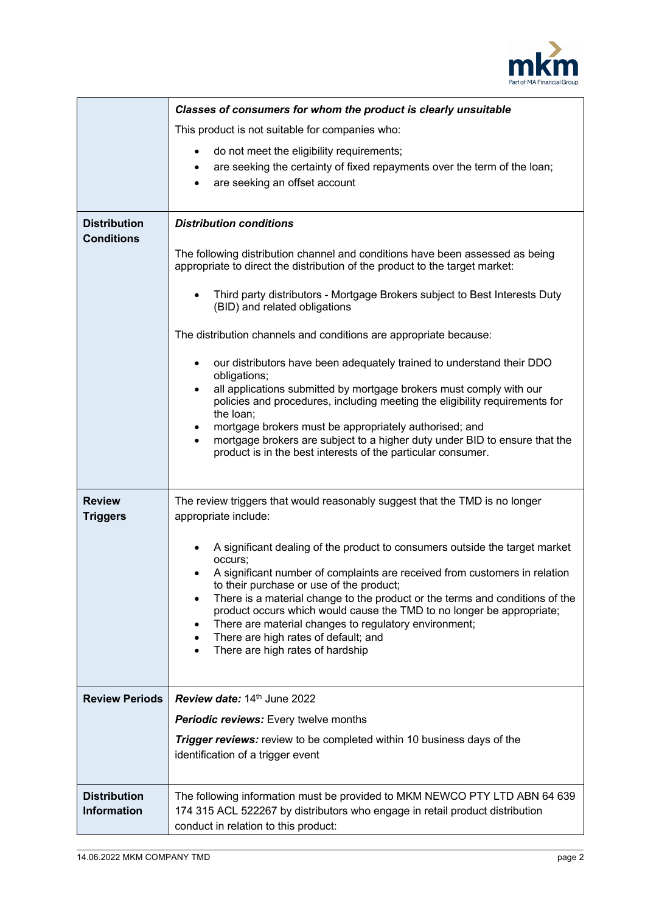

|                                           | Classes of consumers for whom the product is clearly unsuitable                                                                                                                                                                                        |  |  |  |  |
|-------------------------------------------|--------------------------------------------------------------------------------------------------------------------------------------------------------------------------------------------------------------------------------------------------------|--|--|--|--|
|                                           | This product is not suitable for companies who:                                                                                                                                                                                                        |  |  |  |  |
|                                           | do not meet the eligibility requirements;<br>are seeking the certainty of fixed repayments over the term of the loan;<br>٠<br>are seeking an offset account                                                                                            |  |  |  |  |
| <b>Distribution</b><br><b>Conditions</b>  | <b>Distribution conditions</b>                                                                                                                                                                                                                         |  |  |  |  |
|                                           | The following distribution channel and conditions have been assessed as being<br>appropriate to direct the distribution of the product to the target market:                                                                                           |  |  |  |  |
|                                           | Third party distributors - Mortgage Brokers subject to Best Interests Duty<br>(BID) and related obligations                                                                                                                                            |  |  |  |  |
|                                           | The distribution channels and conditions are appropriate because:                                                                                                                                                                                      |  |  |  |  |
|                                           | our distributors have been adequately trained to understand their DDO<br>$\bullet$<br>obligations;                                                                                                                                                     |  |  |  |  |
|                                           | all applications submitted by mortgage brokers must comply with our<br>$\bullet$<br>policies and procedures, including meeting the eligibility requirements for<br>the loan;                                                                           |  |  |  |  |
|                                           | mortgage brokers must be appropriately authorised; and<br>٠<br>mortgage brokers are subject to a higher duty under BID to ensure that the<br>$\bullet$<br>product is in the best interests of the particular consumer.                                 |  |  |  |  |
|                                           |                                                                                                                                                                                                                                                        |  |  |  |  |
| <b>Review</b><br><b>Triggers</b>          | The review triggers that would reasonably suggest that the TMD is no longer<br>appropriate include:                                                                                                                                                    |  |  |  |  |
|                                           | A significant dealing of the product to consumers outside the target market<br>occurs;                                                                                                                                                                 |  |  |  |  |
|                                           | A significant number of complaints are received from customers in relation<br>to their purchase or use of the product;                                                                                                                                 |  |  |  |  |
|                                           | There is a material change to the product or the terms and conditions of the<br>product occurs which would cause the TMD to no longer be appropriate;<br>There are material changes to regulatory environment;<br>There are high rates of default; and |  |  |  |  |
|                                           | There are high rates of hardship                                                                                                                                                                                                                       |  |  |  |  |
| <b>Review Periods</b>                     | Review date: 14th June 2022                                                                                                                                                                                                                            |  |  |  |  |
|                                           | <b>Periodic reviews:</b> Every twelve months                                                                                                                                                                                                           |  |  |  |  |
|                                           | <b>Trigger reviews:</b> review to be completed within 10 business days of the<br>identification of a trigger event                                                                                                                                     |  |  |  |  |
| <b>Distribution</b><br><b>Information</b> | The following information must be provided to MKM NEWCO PTY LTD ABN 64 639<br>174 315 ACL 522267 by distributors who engage in retail product distribution<br>conduct in relation to this product:                                                     |  |  |  |  |